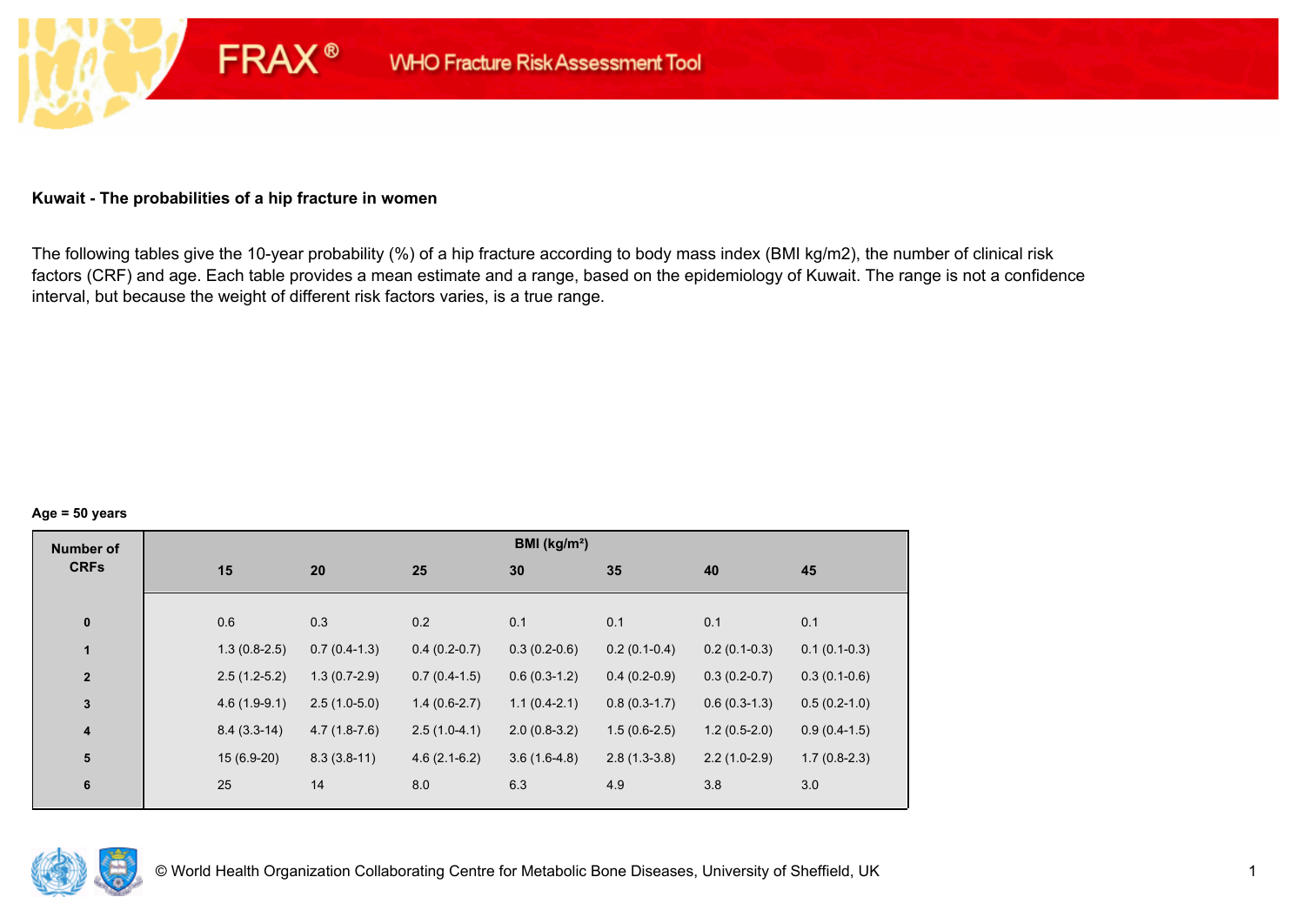#### **Kuwait - The probabilities of a hip fracture in women**

**FRAX®** 

The following tables give the 10-year probability (%) of a hip fracture according to body mass index (BMI kg/m2), the number of clinical risk factors (CRF) and age. Each table provides a mean estimate and a range, based on the epidemiology of Kuwait. The range is not a confidence interval, but because the weight of different risk factors varies, is a true range.

#### **Age = 50 years**

| <b>Number of</b>        |     |                                  |                | BMI (kg/m <sup>2</sup> ) |                |                |                |
|-------------------------|-----|----------------------------------|----------------|--------------------------|----------------|----------------|----------------|
| <b>CRFs</b>             | 15  | 20                               | 25             | 30                       | 35             | 40             | 45             |
|                         |     |                                  |                |                          |                |                |                |
| $\pmb{0}$               | 0.6 | 0.3                              | 0.2            | 0.1                      | 0.1            | 0.1            | 0.1            |
| $\mathbf{1}$            |     | $1.3(0.8-2.5)$<br>$0.7(0.4-1.3)$ | $0.4(0.2-0.7)$ | $0.3(0.2-0.6)$           | $0.2(0.1-0.4)$ | $0.2(0.1-0.3)$ | $0.1(0.1-0.3)$ |
| $\mathbf{2}$            |     | $1.3(0.7-2.9)$<br>$2.5(1.2-5.2)$ | $0.7(0.4-1.5)$ | $0.6(0.3-1.2)$           | $0.4(0.2-0.9)$ | $0.3(0.2-0.7)$ | $0.3(0.1-0.6)$ |
| $\overline{\mathbf{3}}$ |     | $2.5(1.0-5.0)$<br>$4.6(1.9-9.1)$ | $1.4(0.6-2.7)$ | $1.1(0.4-2.1)$           | $0.8(0.3-1.7)$ | $0.6(0.3-1.3)$ | $0.5(0.2-1.0)$ |
| $\boldsymbol{4}$        |     | $8.4(3.3-14)$<br>$4.7(1.8-7.6)$  | $2.5(1.0-4.1)$ | $2.0(0.8-3.2)$           | $1.5(0.6-2.5)$ | $1.2(0.5-2.0)$ | $0.9(0.4-1.5)$ |
| 5                       |     | $15(6.9-20)$<br>$8.3(3.8-11)$    | $4.6(2.1-6.2)$ | $3.6(1.6-4.8)$           | $2.8(1.3-3.8)$ | $2.2(1.0-2.9)$ | $1.7(0.8-2.3)$ |
| $6\phantom{1}6$         | 25  | 14                               | 8.0            | 6.3                      | 4.9            | 3.8            | 3.0            |
|                         |     |                                  |                |                          |                |                |                |

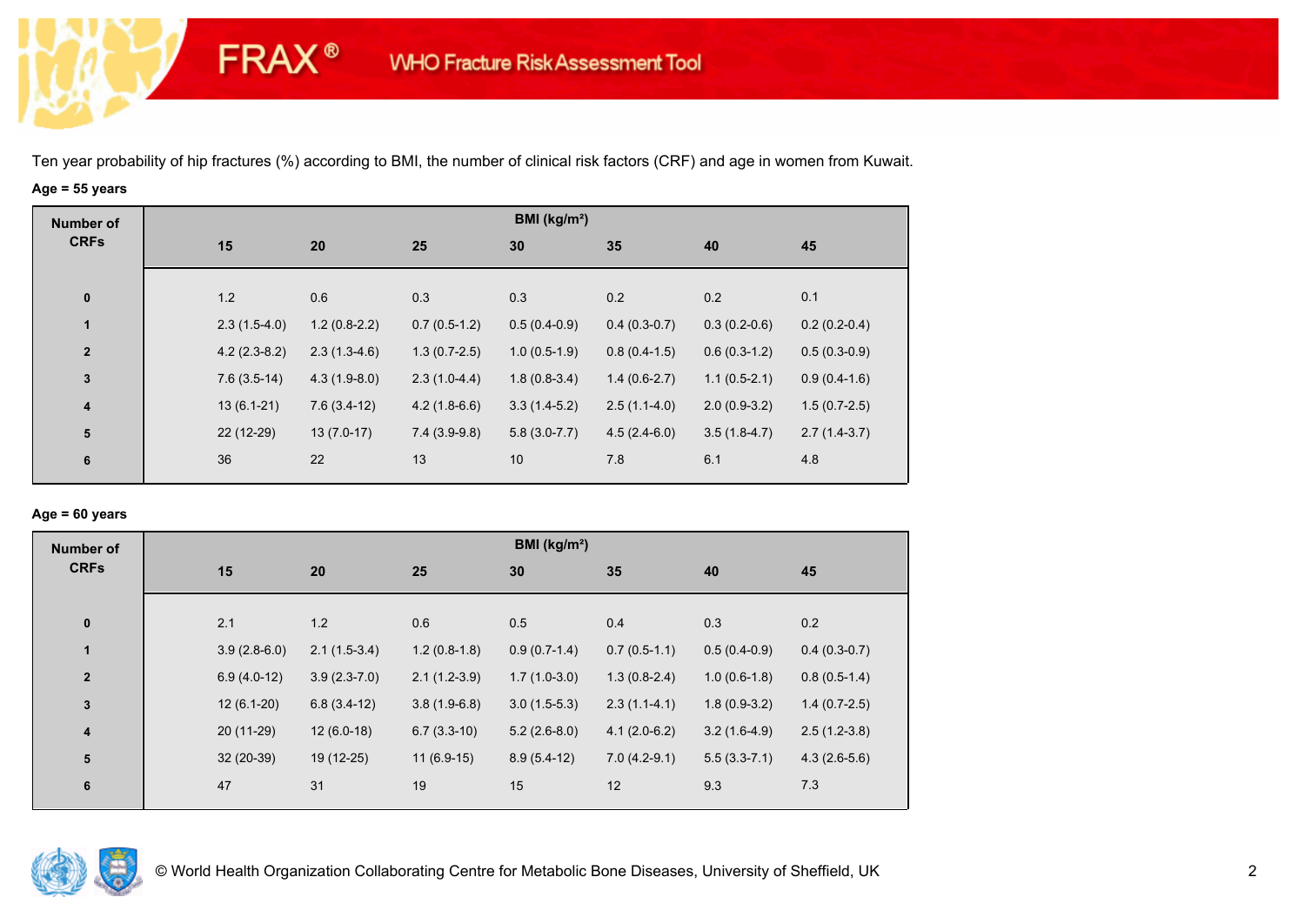**FRAX®** 

# **Age = 55 years**

| <b>Number of</b> |     |                                  |                | BMI (kg/m <sup>2</sup> ) |                |                |                |
|------------------|-----|----------------------------------|----------------|--------------------------|----------------|----------------|----------------|
| <b>CRFs</b>      | 15  | 20                               | 25             | 30                       | 35             | 40             | 45             |
|                  |     |                                  |                |                          |                |                |                |
| $\pmb{0}$        | 1.2 | 0.6                              | 0.3            | 0.3                      | 0.2            | 0.2            | 0.1            |
| $\mathbf{1}$     |     | $1.2(0.8-2.2)$<br>$2.3(1.5-4.0)$ | $0.7(0.5-1.2)$ | $0.5(0.4-0.9)$           | $0.4(0.3-0.7)$ | $0.3(0.2-0.6)$ | $0.2(0.2-0.4)$ |
| $\mathbf{2}$     |     | $4.2(2.3-8.2)$<br>$2.3(1.3-4.6)$ | $1.3(0.7-2.5)$ | $1.0(0.5-1.9)$           | $0.8(0.4-1.5)$ | $0.6(0.3-1.2)$ | $0.5(0.3-0.9)$ |
| $\mathbf{3}$     |     | $4.3(1.9-8.0)$<br>$7.6(3.5-14)$  | $2.3(1.0-4.4)$ | $1.8(0.8-3.4)$           | $1.4(0.6-2.7)$ | $1.1(0.5-2.1)$ | $0.9(0.4-1.6)$ |
| $\boldsymbol{4}$ |     | $13(6.1-21)$<br>$7.6(3.4-12)$    | $4.2(1.8-6.6)$ | $3.3(1.4-5.2)$           | $2.5(1.1-4.0)$ | $2.0(0.9-3.2)$ | $1.5(0.7-2.5)$ |
| 5                |     | 22 (12-29)<br>$13(7.0-17)$       | $7.4(3.9-9.8)$ | $5.8(3.0-7.7)$           | $4.5(2.4-6.0)$ | $3.5(1.8-4.7)$ | $2.7(1.4-3.7)$ |
| 6                | 36  | 22                               | 13             | 10                       | 7.8            | 6.1            | 4.8            |

#### **Age = 60 years**

| <b>Number of</b> |                |                |                | BMI ( $kg/m2$ ) |                |                |                |
|------------------|----------------|----------------|----------------|-----------------|----------------|----------------|----------------|
| <b>CRFs</b>      | 15             | 20             | 25             | 30              | 35             | 40             | 45             |
| $\pmb{0}$        | 2.1            | 1.2            | 0.6            | 0.5             | 0.4            | 0.3            | 0.2            |
| $\mathbf{1}$     | $3.9(2.8-6.0)$ | $2.1(1.5-3.4)$ | $1.2(0.8-1.8)$ | $0.9(0.7-1.4)$  | $0.7(0.5-1.1)$ | $0.5(0.4-0.9)$ | $0.4(0.3-0.7)$ |
| $\boldsymbol{2}$ | $6.9(4.0-12)$  | $3.9(2.3-7.0)$ | $2.1(1.2-3.9)$ | $1.7(1.0-3.0)$  | $1.3(0.8-2.4)$ | $1.0(0.6-1.8)$ | $0.8(0.5-1.4)$ |
| 3                | $12(6.1-20)$   | $6.8(3.4-12)$  | $3.8(1.9-6.8)$ | $3.0(1.5-5.3)$  | $2.3(1.1-4.1)$ | $1.8(0.9-3.2)$ | $1.4(0.7-2.5)$ |
| $\boldsymbol{4}$ | 20 (11-29)     | $12(6.0-18)$   | $6.7(3.3-10)$  | $5.2(2.6-8.0)$  | $4.1(2.0-6.2)$ | $3.2(1.6-4.9)$ | $2.5(1.2-3.8)$ |
| $5\phantom{.0}$  | $32(20-39)$    | 19 (12-25)     | $11(6.9-15)$   | $8.9(5.4-12)$   | $7.0(4.2-9.1)$ | $5.5(3.3-7.1)$ | $4.3(2.6-5.6)$ |
| 6                | 47             | 31             | 19             | 15              | 12             | 9.3            | 7.3            |

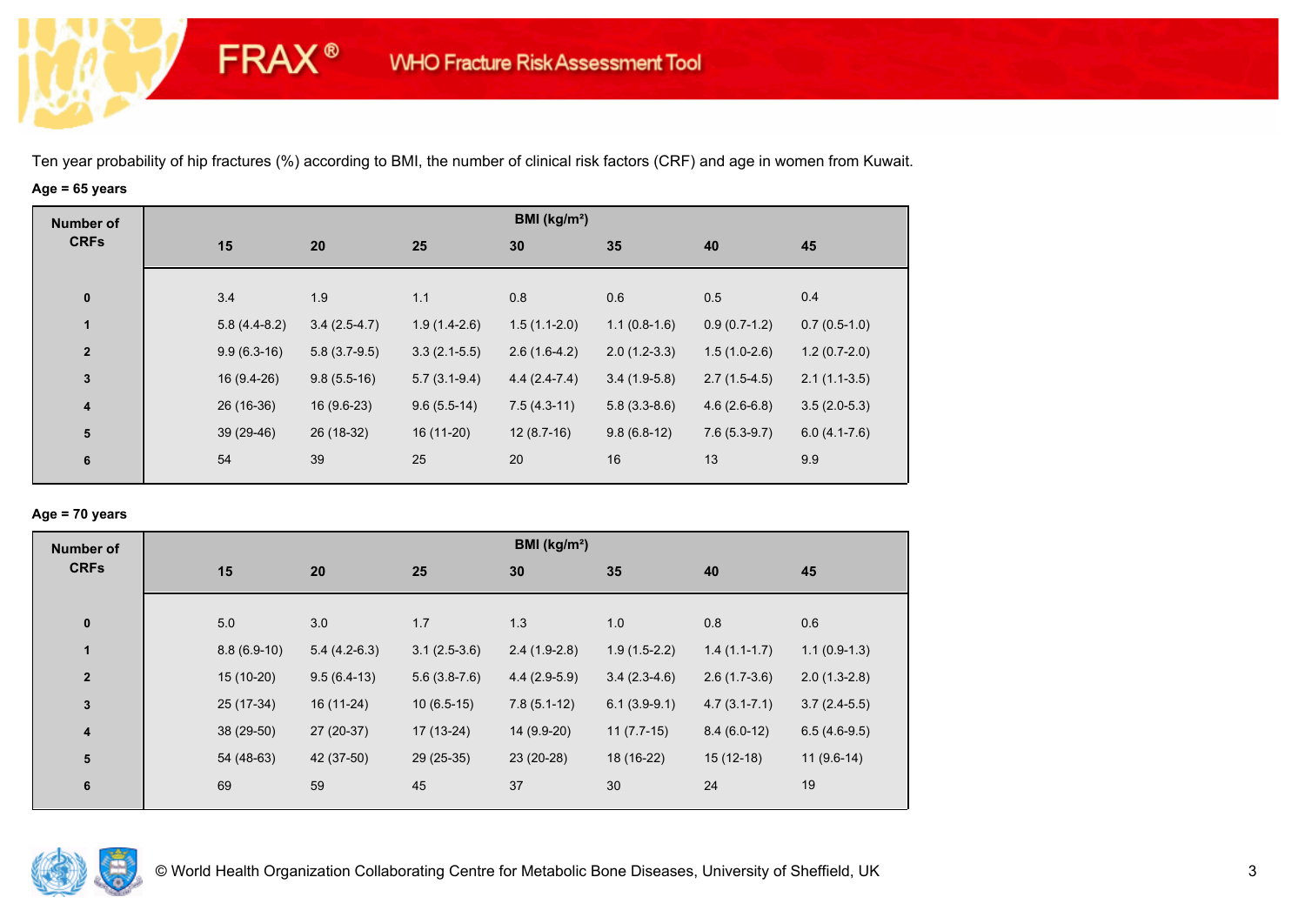**FRAX®** 

# **Age = 65 years**

| <b>Number of</b>        |                |                |                | BMI (kg/m <sup>2</sup> ) |                |                |                |
|-------------------------|----------------|----------------|----------------|--------------------------|----------------|----------------|----------------|
| <b>CRFs</b>             | 15             | 20             | 25             | 30                       | 35             | 40             | 45             |
|                         |                |                |                |                          |                |                |                |
| $\mathbf 0$             | 3.4            | 1.9            | 1.1            | 0.8                      | 0.6            | 0.5            | 0.4            |
| $\mathbf{1}$            | $5.8(4.4-8.2)$ | $3.4(2.5-4.7)$ | $1.9(1.4-2.6)$ | $1.5(1.1-2.0)$           | $1.1(0.8-1.6)$ | $0.9(0.7-1.2)$ | $0.7(0.5-1.0)$ |
| $\overline{\mathbf{2}}$ | $9.9(6.3-16)$  | $5.8(3.7-9.5)$ | $3.3(2.1-5.5)$ | $2.6(1.6-4.2)$           | $2.0(1.2-3.3)$ | $1.5(1.0-2.6)$ | $1.2(0.7-2.0)$ |
| $\mathbf{3}$            | $16(9.4-26)$   | $9.8(5.5-16)$  | $5.7(3.1-9.4)$ | $4.4(2.4-7.4)$           | $3.4(1.9-5.8)$ | $2.7(1.5-4.5)$ | $2.1(1.1-3.5)$ |
| $\boldsymbol{4}$        | 26 (16-36)     | $16(9.6-23)$   | $9.6(5.5-14)$  | $7.5(4.3-11)$            | $5.8(3.3-8.6)$ | $4.6(2.6-6.8)$ | $3.5(2.0-5.3)$ |
| 5                       | 39 (29-46)     | 26 (18-32)     | $16(11-20)$    | $12(8.7-16)$             | $9.8(6.8-12)$  | $7.6(5.3-9.7)$ | $6.0(4.1-7.6)$ |
| 6                       | 54             | 39             | 25             | 20                       | 16             | 13             | 9.9            |
|                         |                |                |                |                          |                |                |                |

## **Age = 70 years**

| <b>Number of</b>        |     |               |                |                | BMI (kg/m <sup>2</sup> ) |                |                  |                |
|-------------------------|-----|---------------|----------------|----------------|--------------------------|----------------|------------------|----------------|
| <b>CRFs</b>             | 15  |               | 20             | 25             | 30                       | 35             | 40               | 45             |
| $\pmb{0}$               | 5.0 |               | 3.0            | 1.7            | 1.3                      | 1.0            | 0.8              | 0.6            |
| 1                       |     | $8.8(6.9-10)$ | $5.4(4.2-6.3)$ | $3.1(2.5-3.6)$ | $2.4(1.9-2.8)$           | $1.9(1.5-2.2)$ | $1.4(1.1-1.7)$   | $1.1(0.9-1.3)$ |
| $\overline{2}$          |     | 15 (10-20)    | $9.5(6.4-13)$  | $5.6(3.8-7.6)$ | $4.4(2.9-5.9)$           | $3.4(2.3-4.6)$ | $2.6(1.7-3.6)$   | $2.0(1.3-2.8)$ |
| $\mathbf 3$             |     | 25 (17-34)    | 16 (11-24)     | $10(6.5-15)$   | $7.8(5.1-12)$            | $6.1(3.9-9.1)$ | $4.7(3.1 - 7.1)$ | $3.7(2.4-5.5)$ |
| $\overline{\mathbf{4}}$ |     | 38 (29-50)    | 27 (20-37)     | 17 (13-24)     | 14 (9.9-20)              | $11(7.7-15)$   | $8.4(6.0-12)$    | $6.5(4.6-9.5)$ |
| ${\bf 5}$               |     | 54 (48-63)    | 42 (37-50)     | 29 (25-35)     | 23 (20-28)               | 18 (16-22)     | $15(12-18)$      | $11(9.6-14)$   |
| 6                       | 69  |               | 59             | 45             | 37                       | 30             | 24               | 19             |

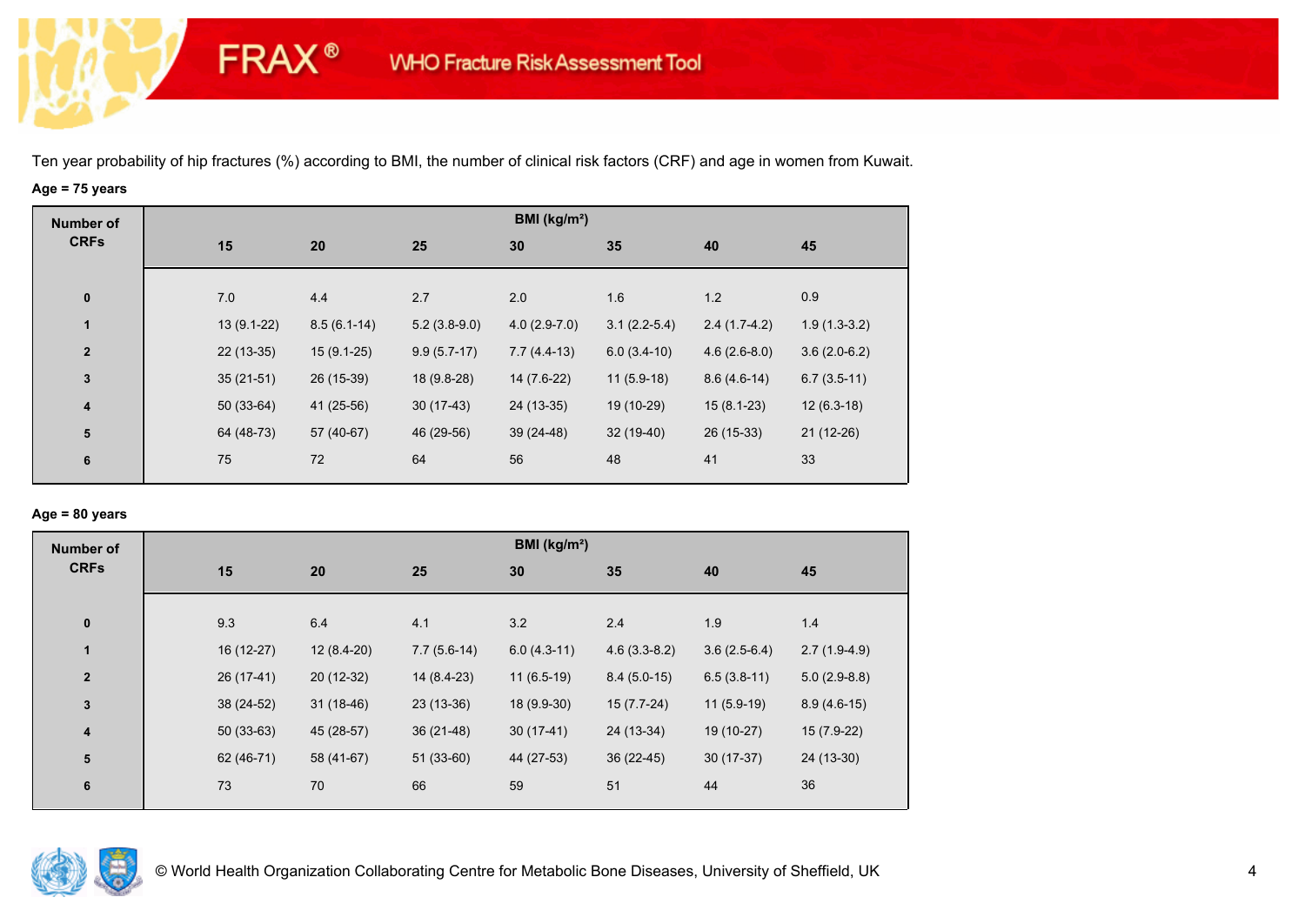**FRAX®** 

# **Age = 75 years**

| <b>Number of</b> |              |               |                | BMI ( $kg/m2$ ) |                |                |                |
|------------------|--------------|---------------|----------------|-----------------|----------------|----------------|----------------|
| <b>CRFs</b>      | 15           | 20            | 25             | 30              | 35             | 40             | 45             |
|                  |              |               |                |                 |                |                |                |
| $\pmb{0}$        | 7.0          | 4.4           | 2.7            | 2.0             | 1.6            | 1.2            | 0.9            |
| $\mathbf{1}$     | $13(9.1-22)$ | $8.5(6.1-14)$ | $5.2(3.8-9.0)$ | $4.0(2.9-7.0)$  | $3.1(2.2-5.4)$ | $2.4(1.7-4.2)$ | $1.9(1.3-3.2)$ |
| $\mathbf{2}$     | $22(13-35)$  | $15(9.1-25)$  | $9.9(5.7-17)$  | $7.7(4.4-13)$   | $6.0(3.4-10)$  | $4.6(2.6-8.0)$ | $3.6(2.0-6.2)$ |
| $\mathbf 3$      | $35(21-51)$  | 26 (15-39)    | 18 (9.8-28)    | 14 (7.6-22)     | $11(5.9-18)$   | $8.6(4.6-14)$  | $6.7(3.5-11)$  |
| 4                | $50(33-64)$  | 41 (25-56)    | $30(17-43)$    | 24 (13-35)      | 19 (10-29)     | $15(8.1-23)$   | $12(6.3-18)$   |
| 5                | 64 (48-73)   | 57 (40-67)    | 46 (29-56)     | $39(24-48)$     | $32(19-40)$    | 26 (15-33)     | $21(12-26)$    |
| 6                | 75           | 72            | 64             | 56              | 48             | 41             | 33             |
|                  |              |               |                |                 |                |                |                |

## **Age = 80 years**

| <b>Number of</b>        |     |             |              |               | BMI ( $kg/m2$ ) |                |                |                |
|-------------------------|-----|-------------|--------------|---------------|-----------------|----------------|----------------|----------------|
| <b>CRFs</b>             | 15  | 20          |              | 25            | 30              | 35             | 40             | 45             |
|                         |     |             |              |               |                 |                |                |                |
| $\pmb{0}$               | 9.3 | 6.4         |              | 4.1           | 3.2             | 2.4            | 1.9            | 1.4            |
| $\mathbf{1}$            |     | 16 (12-27)  | $12(8.4-20)$ | $7.7(5.6-14)$ | $6.0(4.3-11)$   | $4.6(3.3-8.2)$ | $3.6(2.5-6.4)$ | $2.7(1.9-4.9)$ |
| $\mathbf{2}$            |     | $26(17-41)$ | $20(12-32)$  | 14 (8.4-23)   | $11(6.5-19)$    | $8.4(5.0-15)$  | $6.5(3.8-11)$  | $5.0(2.9-8.8)$ |
| 3                       |     | 38 (24-52)  | $31(18-46)$  | $23(13-36)$   | 18 (9.9-30)     | $15(7.7-24)$   | $11(5.9-19)$   | $8.9(4.6-15)$  |
| $\overline{\mathbf{4}}$ |     | $50(33-63)$ | 45 (28-57)   | $36(21-48)$   | $30(17-41)$     | 24 (13-34)     | 19 (10-27)     | $15(7.9-22)$   |
| $5\phantom{.0}$         |     | 62 (46-71)  | 58 (41-67)   | $51(33-60)$   | 44 (27-53)      | $36(22-45)$    | $30(17-37)$    | 24 (13-30)     |
| 6                       | 73  | 70          |              | 66            | 59              | 51             | 44             | 36             |
|                         |     |             |              |               |                 |                |                |                |